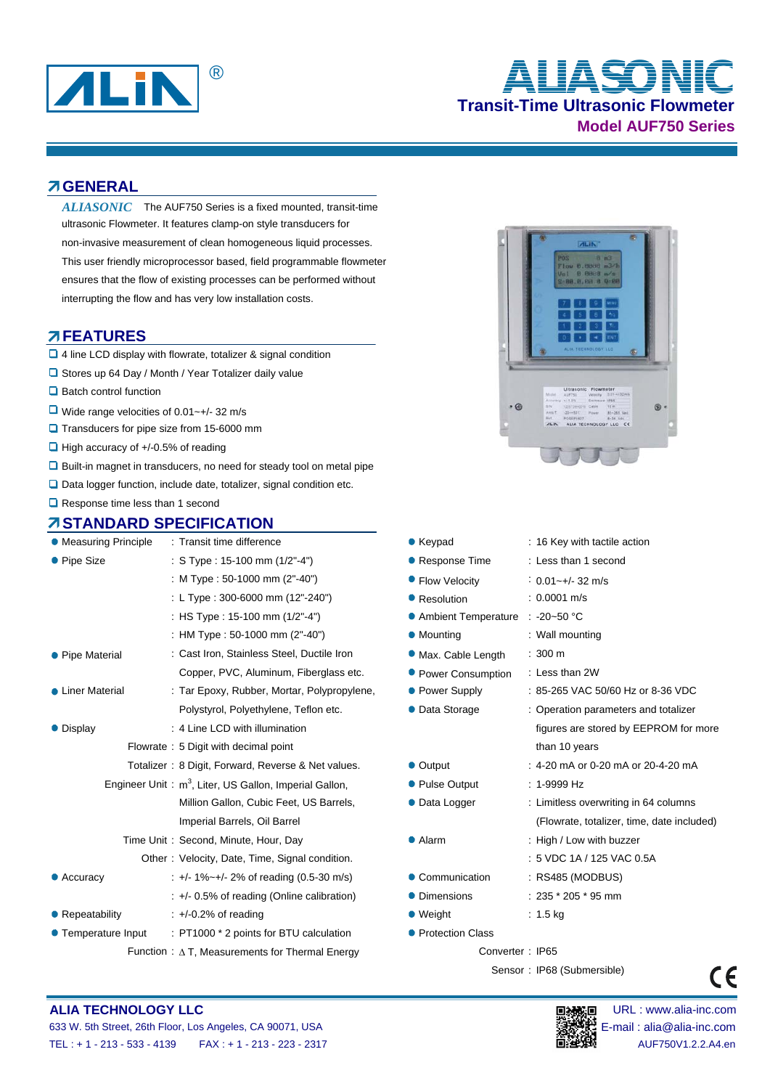

# **Transit-Time Ultrasonic Flowmeter Model AUF750 Series** ® **ALIASONIC**

#### **GENERAL**

ALIASONIC The AUF750 Series is a fixed mounted, transit-time ultrasonic Flowmeter. It features clamp-on style transducers for non-invasive measurement of clean homogeneous liquid processes. This user friendly microprocessor based, field programmable flowmeter ensures that the flow of existing processes can be performed without interrupting the flow and has very low installation costs.

#### **FEATURES**

- 4 line LCD display with flowrate, totalizer & signal condition
- □ Stores up 64 Day / Month / Year Totalizer daily value
- **□** Batch control function
- Wide range velocities of 0.01~+/- 32 m/s
- **Q** Transducers for pipe size from 15-6000 mm
- $\Box$  High accuracy of  $+/-0.5%$  of reading
- Built-in magnet in transducers, no need for steady tool on metal pipe
- $\Box$  Data logger function, include date, totalizer, signal condition etc.
- Response time less than 1 second

## **STANDARD SPECIFICATION**

| <b>• Measuring Principle</b> | : Transit time difference                                          | $\bullet$ Keypad      | : 16 Key with tactile action               |  |
|------------------------------|--------------------------------------------------------------------|-----------------------|--------------------------------------------|--|
| • Pipe Size                  | : S Type : 15-100 mm $(1/2" - 4")$                                 | • Response Time       | : Less than 1 second                       |  |
|                              | : M Type : 50-1000 mm (2"-40")                                     | • Flow Velocity       | $: 0.01 - +/- 32$ m/s                      |  |
|                              | : L Type: 300-6000 mm (12"-240")                                   | • Resolution          | $: 0.0001$ m/s                             |  |
|                              | : HS Type : 15-100 mm (1/2"-4")                                    | • Ambient Temperature | $: -20 - 50$ °C                            |  |
|                              | : HM Type : 50-1000 mm (2"-40")                                    | • Mounting            | : Wall mounting                            |  |
| • Pipe Material              | : Cast Iron, Stainless Steel, Ductile Iron                         | • Max. Cable Length   | $: 300 \text{ m}$                          |  |
|                              | Copper, PVC, Aluminum, Fiberglass etc.                             | • Power Consumption   | : Less than 2W                             |  |
| • Liner Material             | : Tar Epoxy, Rubber, Mortar, Polypropylene,                        | • Power Supply        | : 85-265 VAC 50/60 Hz or 8-36 VDC          |  |
|                              | Polystyrol, Polyethylene, Teflon etc.                              | • Data Storage        | : Operation parameters and totalizer       |  |
| • Display                    | : 4 Line LCD with illumination                                     |                       | figures are stored by EEPROM for more      |  |
|                              | Flowrate: 5 Digit with decimal point                               |                       | than 10 years                              |  |
|                              | Totalizer: 8 Digit, Forward, Reverse & Net values.                 | • Output              | $: 4-20$ mA or 0-20 mA or 20-4-20 mA       |  |
|                              | Engineer Unit: m <sup>3</sup> , Liter, US Gallon, Imperial Gallon, | • Pulse Output        | $: 1-9999 Hz$                              |  |
|                              | Million Gallon, Cubic Feet, US Barrels,                            | • Data Logger         | : Limitless overwriting in 64 columns      |  |
|                              | Imperial Barrels, Oil Barrel                                       |                       | (Flowrate, totalizer, time, date included) |  |
|                              | Time Unit: Second, Minute, Hour, Day                               | $\bullet$ Alarm       | : High / Low with buzzer                   |  |
|                              | Other: Velocity, Date, Time, Signal condition.                     |                       | : 5 VDC 1A / 125 VAC 0.5A                  |  |
| • Accuracy                   | $\div$ +/- 1%~+/- 2% of reading (0.5-30 m/s)                       | • Communication       | : RS485 (MODBUS)                           |  |
|                              | $\div$ +/- 0.5% of reading (Online calibration)                    | • Dimensions          | $: 235 * 205 * 95$ mm                      |  |
| • Repeatability              | $\div$ +/-0.2% of reading                                          | $\bullet$ Weight      | : $1.5 \text{ kg}$                         |  |
| • Temperature Input          | : PT1000 * 2 points for BTU calculation                            | • Protection Class    |                                            |  |
|                              | Function : $\Delta$ T, Measurements for Thermal Energy             | Converter: IP65       |                                            |  |



|                         | : 16 Key with tactile action               |
|-------------------------|--------------------------------------------|
| e Time                  | : Less than 1 second                       |
| ocity                   | $: 0.01 - +/- 32$ m/s                      |
| n                       | $: 0.0001$ m/s                             |
| Temperature : -20~50 °C |                                            |
|                         | : Wall mounting                            |
| le Length               | $: 300 \, \text{m}$                        |
| onsumption              | : Less than 2W                             |
| ipply                   | : 85-265 VAC 50/60 Hz or 8-36 VDC          |
| age                     | : Operation parameters and totalizer       |
|                         | figures are stored by EEPROM for more      |
|                         | than 10 years                              |
|                         | : 4-20 mA or 0-20 mA or 20-4-20 mA         |
| tput                    | $: 1-9999$ Hz                              |
| ger                     | : Limitless overwriting in 64 columns      |
|                         | (Flowrate, totalizer, time, date included) |
|                         | : High / Low with buzzer                   |
|                         | : 5 VDC 1A / 125 VAC 0.5A                  |
| ication                 | : RS485 (MODBUS)                           |
| ns                      | $: 235 * 205 * 95$ mm                      |
|                         | $: 1.5$ kg                                 |
| า Class                 |                                            |
| Converter: IP65         |                                            |

Sensor : IP68 (Submersible)

# $\epsilon$

#### **ALIA TECHNOLOGY LLC DEVICED DEVICED DEVICED DEVICED DEVICED DEVICED DEVICED DEVICED DEVICED DEVICED DEVICED**

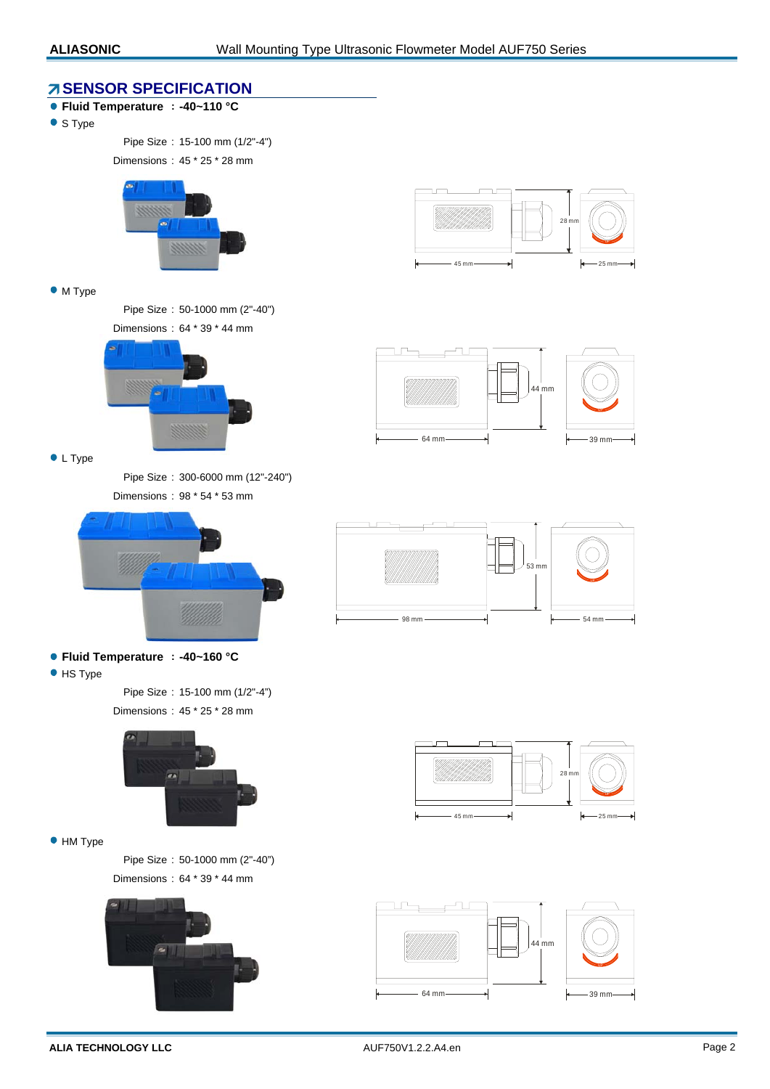#### **SENSOR SPECIFICATION**

- **Fluid Temperature : -40~110 °C**
- S Type

Pipe Size : 15-100 mm (1/2"-4")

Dimensions : 45 \* 25 \* 28 mm



#### • M Type

Pipe Size : 50-1000 mm (2"-40") Dimensions : 64 \* 39 \* 44 mm



**C** L Type

Pipe Size : 300-6000 mm (12"-240") Dimensions : 98 \* 54 \* 53 mm



- **Fluid Temperature : -40~160 °C**
- **•** HS Type

Pipe Size : 15-100 mm (1/2"-4") Dimensions : 45 \* 25 \* 28 mm



 $\bullet$  HM Type

Pipe Size : 50-1000 mm (2"-40") Dimensions : 64 \* 39 \* 44 mm











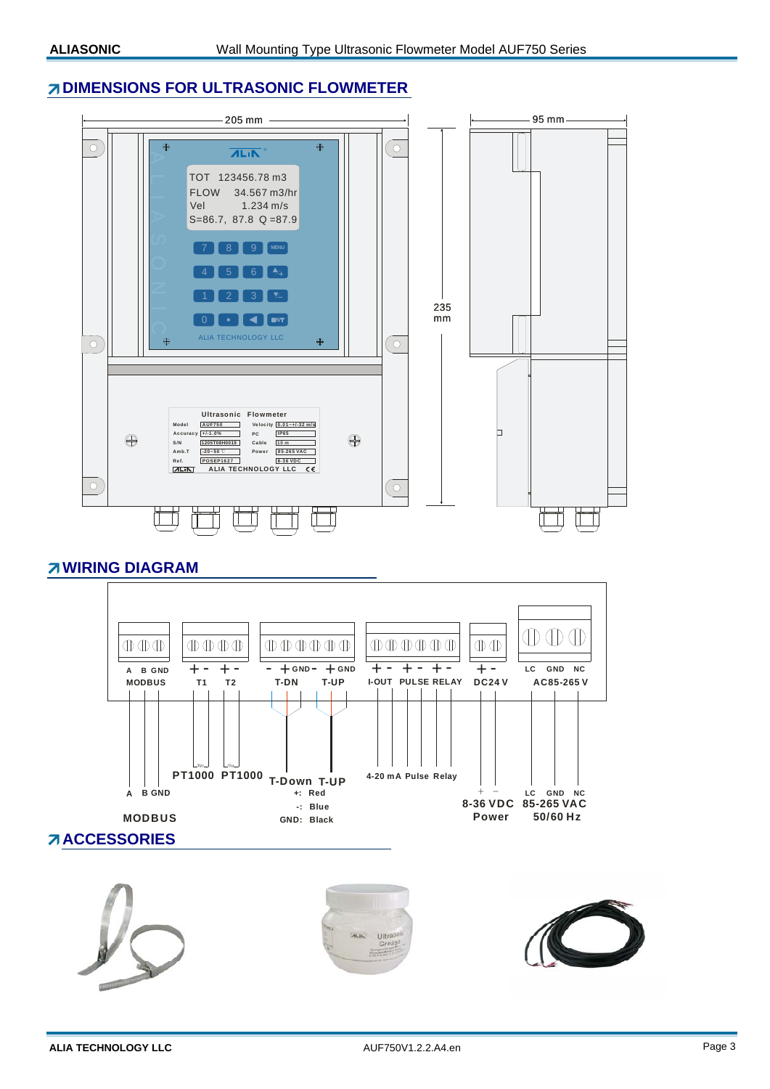### **DIMENSIONS FOR ULTRASONIC FLOWMETER**